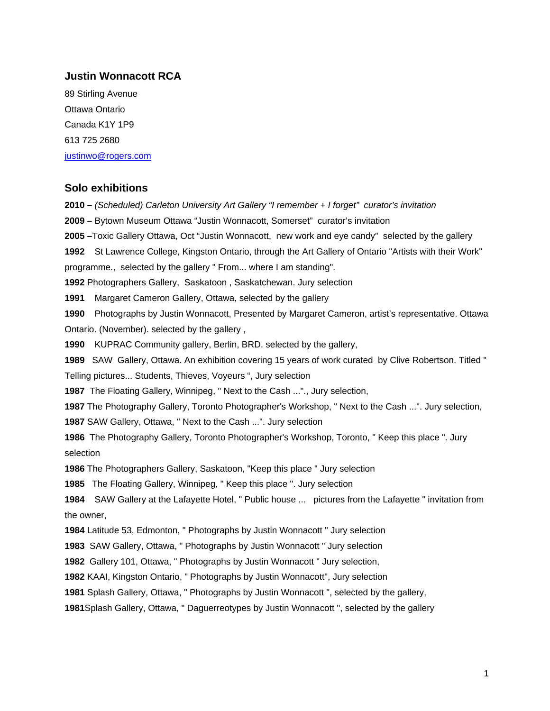## **Justin Wonnacott RCA**

89 Stirling Avenue Ottawa Ontario Canada K1Y 1P9 613 725 2680 [justinwo@rogers.com](mailto:justinwo@rogers.com)

## **Solo exhibitions**

**2010 –** *(Scheduled) Carleton University Art Gallery "I remember + I forget" curator's invitation* **2009 –** Bytown Museum Ottawa "Justin Wonnacott, Somerset" curator's invitation **2005 –**Toxic Gallery Ottawa, Oct "Justin Wonnacott, new work and eye candy" selected by the gallery St Lawrence College, Kingston Ontario, through the Art Gallery of Ontario "Artists with their Work" programme., selected by the gallery " From... where I am standing". Photographers Gallery, Saskatoon , Saskatchewan. Jury selection Margaret Cameron Gallery, Ottawa, selected by the gallery Photographs by Justin Wonnacott, Presented by Margaret Cameron, artist's representative. Ottawa Ontario. (November). selected by the gallery , KUPRAC Community gallery, Berlin, BRD. selected by the gallery, SAW Gallery, Ottawa. An exhibition covering 15 years of work curated by Clive Robertson. Titled " Telling pictures... Students, Thieves, Voyeurs ", Jury selection The Floating Gallery, Winnipeg, " Next to the Cash ..."., Jury selection, The Photography Gallery, Toronto Photographer's Workshop, " Next to the Cash ...". Jury selection, SAW Gallery, Ottawa, " Next to the Cash ...". Jury selection The Photography Gallery, Toronto Photographer's Workshop, Toronto, " Keep this place ". Jury selection The Photographers Gallery, Saskatoon, "Keep this place " Jury selection The Floating Gallery, Winnipeg, " Keep this place ". Jury selection SAW Gallery at the Lafayette Hotel, " Public house ... pictures from the Lafayette " invitation from the owner, Latitude 53, Edmonton, " Photographs by Justin Wonnacott " Jury selection SAW Gallery, Ottawa, " Photographs by Justin Wonnacott " Jury selection Gallery 101, Ottawa, " Photographs by Justin Wonnacott " Jury selection, KAAI, Kingston Ontario, " Photographs by Justin Wonnacott", Jury selection Splash Gallery, Ottawa, " Photographs by Justin Wonnacott ", selected by the gallery,

**1981**Splash Gallery, Ottawa, " Daguerreotypes by Justin Wonnacott ", selected by the gallery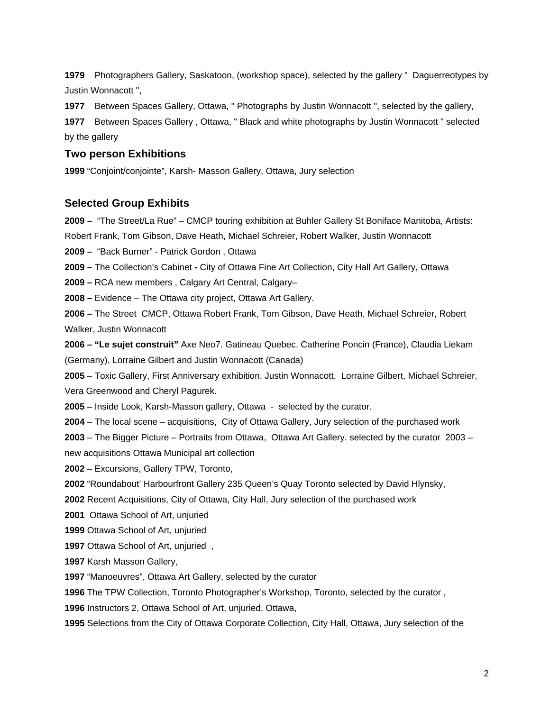**1979** Photographers Gallery, Saskatoon, (workshop space), selected by the gallery " Daguerreotypes by Justin Wonnacott ",

**1977** Between Spaces Gallery, Ottawa, " Photographs by Justin Wonnacott ", selected by the gallery, **1977** Between Spaces Gallery , Ottawa, " Black and white photographs by Justin Wonnacott " selected

by the gallery

## **Two person Exhibitions**

**1999** "Conjoint/conjointe", Karsh- Masson Gallery, Ottawa, Jury selection

## **Selected Group Exhibits**

**2009 –** "The Street/La Rue" – CMCP touring exhibition at Buhler Gallery St Boniface Manitoba, Artists:

Robert Frank, Tom Gibson, Dave Heath, Michael Schreier, Robert Walker, Justin Wonnacott

**2009 –** "Back Burner" - Patrick Gordon , Ottawa

**2009 –** The Collection's Cabinet **-** City of Ottawa Fine Art Collection, City Hall Art Gallery, Ottawa

**2009 –** RCA new members , Calgary Art Central, Calgary–

**2008 –** Evidence – The Ottawa city project, Ottawa Art Gallery.

**2006 –** The Street CMCP, Ottawa Robert Frank, Tom Gibson, Dave Heath, Michael Schreier, Robert Walker, Justin Wonnacott

**2006 – "Le sujet construit"** Axe Neo7. Gatineau Quebec. Catherine Poncin (France), Claudia Liekam (Germany), Lorraine Gilbert and Justin Wonnacott (Canada)

**2005** – Toxic Gallery, First Anniversary exhibition. Justin Wonnacott, Lorraine Gilbert, Michael Schreier, Vera Greenwood and Cheryl Pagurek.

**2005** – Inside Look, Karsh-Masson gallery, Ottawa - selected by the curator.

**2004** – The local scene – acquisitions, City of Ottawa Gallery, Jury selection of the purchased work

**2003** – The Bigger Picture – Portraits from Ottawa, Ottawa Art Gallery. selected by the curator 2003 – new acquisitions Ottawa Municipal art collection

**2002** – Excursions, Gallery TPW, Toronto,

**2002** "Roundabout' Harbourfront Gallery 235 Queen's Quay Toronto selected by David Hlynsky,

**2002** Recent Acquisitions, City of Ottawa, City Hall, Jury selection of the purchased work

**2001** Ottawa School of Art, unjuried

**1999** Ottawa School of Art, unjuried

**1997** Ottawa School of Art, unjuried ,

**1997** Karsh Masson Gallery,

**1997** "Manoeuvres", Ottawa Art Gallery, selected by the curator

**1996** The TPW Collection, Toronto Photographer's Workshop, Toronto, selected by the curator ,

**1996** Instructors 2, Ottawa School of Art, unjuried, Ottawa,

**1995** Selections from the City of Ottawa Corporate Collection, City Hall, Ottawa, Jury selection of the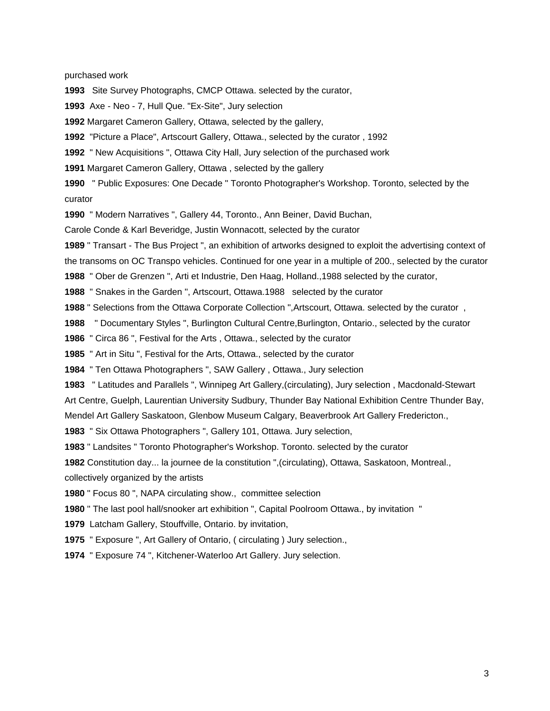#### purchased work

Site Survey Photographs, CMCP Ottawa. selected by the curator,

Axe - Neo - 7, Hull Que. "Ex-Site", Jury selection

Margaret Cameron Gallery, Ottawa, selected by the gallery,

"Picture a Place", Artscourt Gallery, Ottawa., selected by the curator , 1992

" New Acquisitions ", Ottawa City Hall, Jury selection of the purchased work

Margaret Cameron Gallery, Ottawa , selected by the gallery

 " Public Exposures: One Decade " Toronto Photographer's Workshop. Toronto, selected by the curator

" Modern Narratives ", Gallery 44, Toronto., Ann Beiner, David Buchan,

Carole Conde & Karl Beveridge, Justin Wonnacott, selected by the curator

" Transart - The Bus Project ", an exhibition of artworks designed to exploit the advertising context of

the transoms on OC Transpo vehicles. Continued for one year in a multiple of 200., selected by the curator

" Ober de Grenzen ", Arti et Industrie, Den Haag, Holland.,1988 selected by the curator,

" Snakes in the Garden ", Artscourt, Ottawa.1988 selected by the curator

" Selections from the Ottawa Corporate Collection ",Artscourt, Ottawa. selected by the curator ,

" Documentary Styles ", Burlington Cultural Centre,Burlington, Ontario., selected by the curator

" Circa 86 ", Festival for the Arts , Ottawa., selected by the curator

" Art in Situ ", Festival for the Arts, Ottawa., selected by the curator

" Ten Ottawa Photographers ", SAW Gallery , Ottawa., Jury selection

" Latitudes and Parallels ", Winnipeg Art Gallery,(circulating), Jury selection , Macdonald-Stewart

Art Centre, Guelph, Laurentian University Sudbury, Thunder Bay National Exhibition Centre Thunder Bay,

Mendel Art Gallery Saskatoon, Glenbow Museum Calgary, Beaverbrook Art Gallery Fredericton.,

" Six Ottawa Photographers ", Gallery 101, Ottawa. Jury selection,

" Landsites " Toronto Photographer's Workshop. Toronto. selected by the curator

Constitution day... la journee de la constitution ",(circulating), Ottawa, Saskatoon, Montreal.,

collectively organized by the artists

" Focus 80 ", NAPA circulating show., committee selection

" The last pool hall/snooker art exhibition ", Capital Poolroom Ottawa., by invitation "

Latcham Gallery, Stouffville, Ontario. by invitation,

" Exposure ", Art Gallery of Ontario, ( circulating ) Jury selection.,

" Exposure 74 ", Kitchener-Waterloo Art Gallery. Jury selection.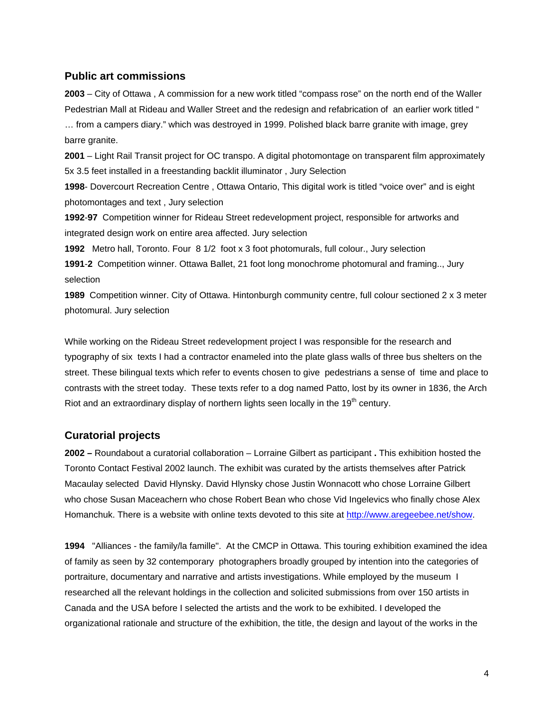# **Public art commissions**

**2003** – City of Ottawa , A commission for a new work titled "compass rose" on the north end of the Waller Pedestrian Mall at Rideau and Waller Street and the redesign and refabrication of an earlier work titled " … from a campers diary." which was destroyed in 1999. Polished black barre granite with image, grey barre granite.

**2001** – Light Rail Transit project for OC transpo. A digital photomontage on transparent film approximately 5x 3.5 feet installed in a freestanding backlit illuminator , Jury Selection

**1998**- Dovercourt Recreation Centre , Ottawa Ontario, This digital work is titled "voice over" and is eight photomontages and text , Jury selection

**1992**-**97** Competition winner for Rideau Street redevelopment project, responsible for artworks and integrated design work on entire area affected. Jury selection

**1992** Metro hall, Toronto. Four 8 1/2 foot x 3 foot photomurals, full colour., Jury selection

**1991**-**2** Competition winner. Ottawa Ballet, 21 foot long monochrome photomural and framing.., Jury selection

**1989** Competition winner. City of Ottawa. Hintonburgh community centre, full colour sectioned 2 x 3 meter photomural. Jury selection

While working on the Rideau Street redevelopment project I was responsible for the research and typography of six texts I had a contractor enameled into the plate glass walls of three bus shelters on the street. These bilingual texts which refer to events chosen to give pedestrians a sense of time and place to contrasts with the street today. These texts refer to a dog named Patto, lost by its owner in 1836, the Arch Riot and an extraordinary display of northern lights seen locally in the  $19<sup>th</sup>$  century.

# **Curatorial projects**

**2002 –** Roundabout a curatorial collaboration – Lorraine Gilbert as participant **.** This exhibition hosted the Toronto Contact Festival 2002 launch. The exhibit was curated by the artists themselves after Patrick Macaulay selected David Hlynsky. David Hlynsky chose Justin Wonnacott who chose Lorraine Gilbert who chose Susan Maceachern who chose Robert Bean who chose Vid Ingelevics who finally chose Alex Homanchuk. There is a website with online texts devoted to this site at <http://www.aregeebee.net/show>.

**1994** "Alliances - the family/la famille". At the CMCP in Ottawa. This touring exhibition examined the idea of family as seen by 32 contemporary photographers broadly grouped by intention into the categories of portraiture, documentary and narrative and artists investigations. While employed by the museum I researched all the relevant holdings in the collection and solicited submissions from over 150 artists in Canada and the USA before I selected the artists and the work to be exhibited. I developed the organizational rationale and structure of the exhibition, the title, the design and layout of the works in the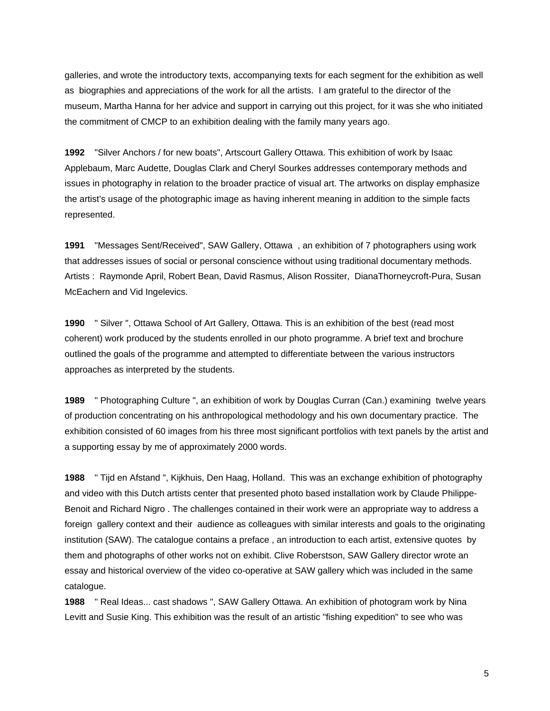galleries, and wrote the introductory texts, accompanying texts for each segment for the exhibition as well as biographies and appreciations of the work for all the artists. I am grateful to the director of the museum, Martha Hanna for her advice and support in carrying out this project, for it was she who initiated the commitment of CMCP to an exhibition dealing with the family many years ago.

**1992** "Silver Anchors / for new boats", Artscourt Gallery Ottawa. This exhibition of work by Isaac Applebaum, Marc Audette, Douglas Clark and Cheryl Sourkes addresses contemporary methods and issues in photography in relation to the broader practice of visual art. The artworks on display emphasize the artist's usage of the photographic image as having inherent meaning in addition to the simple facts represented.

**1991** "Messages Sent/Received", SAW Gallery, Ottawa , an exhibition of 7 photographers using work that addresses issues of social or personal conscience without using traditional documentary methods. Artists : Raymonde April, Robert Bean, David Rasmus, Alison Rossiter, DianaThorneycroft-Pura, Susan McEachern and Vid Ingelevics.

**1990** " Silver ", Ottawa School of Art Gallery, Ottawa. This is an exhibition of the best (read most coherent) work produced by the students enrolled in our photo programme. A brief text and brochure outlined the goals of the programme and attempted to differentiate between the various instructors approaches as interpreted by the students.

**1989** " Photographing Culture ", an exhibition of work by Douglas Curran (Can.) examining twelve years of production concentrating on his anthropological methodology and his own documentary practice. The exhibition consisted of 60 images from his three most significant portfolios with text panels by the artist and a supporting essay by me of approximately 2000 words.

**1988** " Tijd en Afstand ", Kijkhuis, Den Haag, Holland. This was an exchange exhibition of photography and video with this Dutch artists center that presented photo based installation work by Claude Philippe-Benoit and Richard Nigro . The challenges contained in their work were an appropriate way to address a foreign gallery context and their audience as colleagues with similar interests and goals to the originating institution (SAW). The catalogue contains a preface , an introduction to each artist, extensive quotes by them and photographs of other works not on exhibit. Clive Roberstson, SAW Gallery director wrote an essay and historical overview of the video co-operative at SAW gallery which was included in the same catalogue.

**1988** " Real Ideas... cast shadows ", SAW Gallery Ottawa. An exhibition of photogram work by Nina Levitt and Susie King. This exhibition was the result of an artistic "fishing expedition" to see who was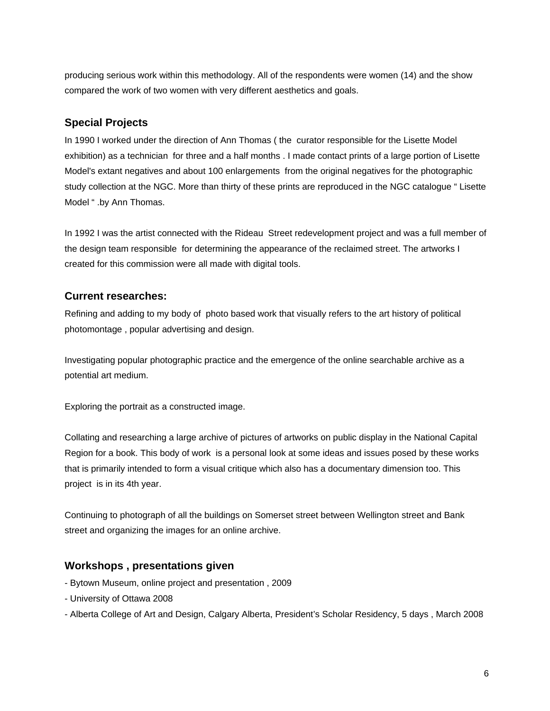producing serious work within this methodology. All of the respondents were women (14) and the show compared the work of two women with very different aesthetics and goals.

# **Special Projects**

In 1990 I worked under the direction of Ann Thomas ( the curator responsible for the Lisette Model exhibition) as a technician for three and a half months . I made contact prints of a large portion of Lisette Model's extant negatives and about 100 enlargements from the original negatives for the photographic study collection at the NGC. More than thirty of these prints are reproduced in the NGC catalogue " Lisette Model " .by Ann Thomas.

In 1992 I was the artist connected with the Rideau Street redevelopment project and was a full member of the design team responsible for determining the appearance of the reclaimed street. The artworks I created for this commission were all made with digital tools.

# **Current researches:**

Refining and adding to my body of photo based work that visually refers to the art history of political photomontage , popular advertising and design.

Investigating popular photographic practice and the emergence of the online searchable archive as a potential art medium.

Exploring the portrait as a constructed image.

Collating and researching a large archive of pictures of artworks on public display in the National Capital Region for a book. This body of work is a personal look at some ideas and issues posed by these works that is primarily intended to form a visual critique which also has a documentary dimension too. This project is in its 4th year.

Continuing to photograph of all the buildings on Somerset street between Wellington street and Bank street and organizing the images for an online archive.

# **Workshops , presentations given**

- Bytown Museum, online project and presentation , 2009
- University of Ottawa 2008
- Alberta College of Art and Design, Calgary Alberta, President's Scholar Residency, 5 days , March 2008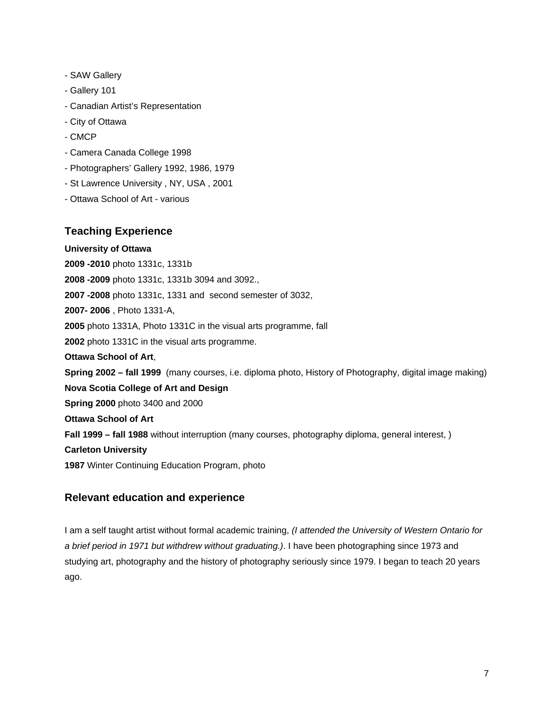- SAW Gallery
- Gallery 101
- Canadian Artist's Representation
- City of Ottawa
- CMCP
- Camera Canada College 1998
- Photographers' Gallery 1992, 1986, 1979
- St Lawrence University , NY, USA , 2001
- Ottawa School of Art various

# **Teaching Experience**

#### **University of Ottawa**

**2009 -2010** photo 1331c, 1331b

**2008 -2009** photo 1331c, 1331b 3094 and 3092.,

**2007 -2008** photo 1331c, 1331 and second semester of 3032,

**2007- 2006** , Photo 1331-A,

**2005** photo 1331A, Photo 1331C in the visual arts programme, fall

**2002** photo 1331C in the visual arts programme.

**Ottawa School of Art**,

**Spring 2002 – fall 1999** (many courses, i.e. diploma photo, History of Photography, digital image making)

# **Nova Scotia College of Art and Design**

**Spring 2000** photo 3400 and 2000

**Ottawa School of Art** 

**Fall 1999 – fall 1988** without interruption (many courses, photography diploma, general interest, )

## **Carleton University**

**1987** Winter Continuing Education Program, photo

## **Relevant education and experience**

I am a self taught artist without formal academic training, *(I attended the University of Western Ontario for a brief period in 1971 but withdrew without graduating.)*. I have been photographing since 1973 and studying art, photography and the history of photography seriously since 1979. I began to teach 20 years ago.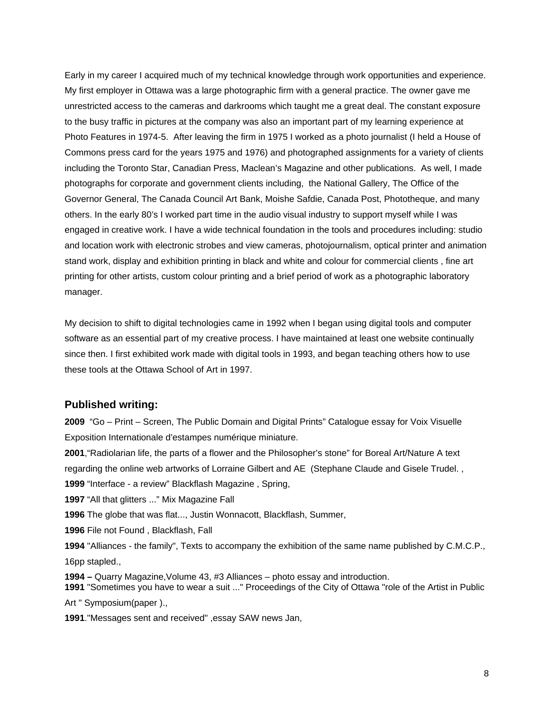Early in my career I acquired much of my technical knowledge through work opportunities and experience. My first employer in Ottawa was a large photographic firm with a general practice. The owner gave me unrestricted access to the cameras and darkrooms which taught me a great deal. The constant exposure to the busy traffic in pictures at the company was also an important part of my learning experience at Photo Features in 1974-5. After leaving the firm in 1975 I worked as a photo journalist (I held a House of Commons press card for the years 1975 and 1976) and photographed assignments for a variety of clients including the Toronto Star, Canadian Press, Maclean's Magazine and other publications. As well, I made photographs for corporate and government clients including, the National Gallery, The Office of the Governor General, The Canada Council Art Bank, Moishe Safdie, Canada Post, Phototheque, and many others. In the early 80's I worked part time in the audio visual industry to support myself while I was engaged in creative work. I have a wide technical foundation in the tools and procedures including: studio and location work with electronic strobes and view cameras, photojournalism, optical printer and animation stand work, display and exhibition printing in black and white and colour for commercial clients , fine art printing for other artists, custom colour printing and a brief period of work as a photographic laboratory manager.

My decision to shift to digital technologies came in 1992 when I began using digital tools and computer software as an essential part of my creative process. I have maintained at least one website continually since then. I first exhibited work made with digital tools in 1993, and began teaching others how to use these tools at the Ottawa School of Art in 1997.

# **Published writing:**

**2009** "Go – Print – Screen, The Public Domain and Digital Prints" Catalogue essay for Voix Visuelle Exposition Internationale d'estampes numérique miniature.

**2001**,"Radiolarian life, the parts of a flower and the Philosopher's stone" for Boreal Art/Nature A text regarding the online web artworks of Lorraine Gilbert and AE (Stephane Claude and Gisele Trudel. , **1999** "Interface - a review" Blackflash Magazine , Spring,

**1997** "All that glitters ..." Mix Magazine Fall

**1996** The globe that was flat..., Justin Wonnacott, Blackflash, Summer,

**1996** File not Found , Blackflash, Fall

**1994** "Alliances - the family", Texts to accompany the exhibition of the same name published by C.M.C.P., 16pp stapled.,

**1994 –** Quarry Magazine,Volume 43, #3 Alliances – photo essay and introduction.

**1991** "Sometimes you have to wear a suit ..." Proceedings of the City of Ottawa "role of the Artist in Public Art " Symposium(paper ).,

**1991**."Messages sent and received" ,essay SAW news Jan,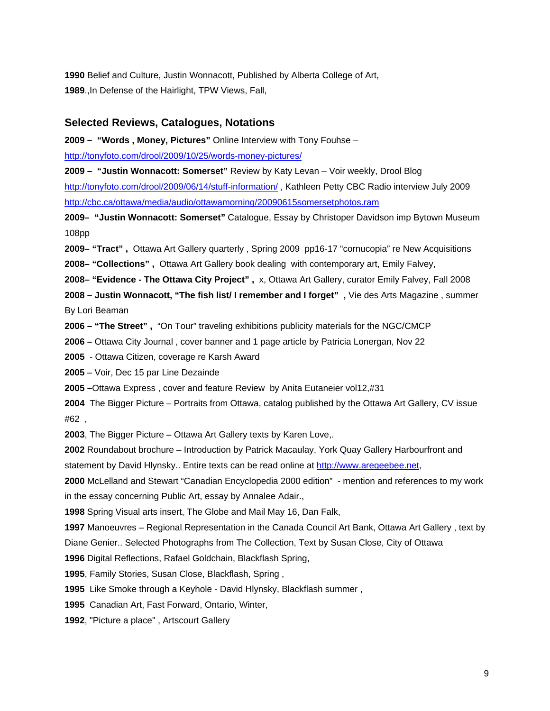**1990** Belief and Culture, Justin Wonnacott, Published by Alberta College of Art, **1989**.,In Defense of the Hairlight, TPW Views, Fall,

#### **Selected Reviews, Catalogues, Notations**

**2009 – "Words , Money, Pictures"** Online Interview with Tony Fouhse – <http://tonyfoto.com/drool/2009/10/25/words-money-pictures/>

**2009 – "Justin Wonnacott: Somerset"** Review by Katy Levan – Voir weekly, Drool Blog <http://tonyfoto.com/drool/2009/06/14/stuff-information/> , Kathleen Petty CBC Radio interview July 2009 <http://cbc.ca/ottawa/media/audio/ottawamorning/20090615somersetphotos.ram>

**2009– "Justin Wonnacott: Somerset"** Catalogue, Essay by Christoper Davidson imp Bytown Museum 108pp

**2009– "Tract" ,** Ottawa Art Gallery quarterly , Spring 2009 pp16-17 "cornucopia" re New Acquisitions

**2008– "Collections" ,** Ottawa Art Gallery book dealing with contemporary art, Emily Falvey,

**2008– "Evidence - The Ottawa City Project" ,** x, Ottawa Art Gallery, curator Emily Falvey, Fall 2008

**2008 – Justin Wonnacott, "The fish list/ I remember and I forget" ,** Vie des Arts Magazine , summer By Lori Beaman

**2006 – "The Street" ,** "On Tour" traveling exhibitions publicity materials for the NGC/CMCP

**2006 –** Ottawa City Journal , cover banner and 1 page article by Patricia Lonergan, Nov 22

**2005** - Ottawa Citizen, coverage re Karsh Award

**2005** – Voir, Dec 15 par Line Dezainde

**2005 –**Ottawa Express , cover and feature Review by Anita Eutaneier vol12,#31

**2004** The Bigger Picture – Portraits from Ottawa, catalog published by the Ottawa Art Gallery, CV issue #62 ,

**2003**, The Bigger Picture – Ottawa Art Gallery texts by Karen Love,.

**2002** Roundabout brochure – Introduction by Patrick Macaulay, York Quay Gallery Harbourfront and

statement by David Hlynsky.. Entire texts can be read online at [http://www.aregeebee.net,](http://www.aregeebee.net/)

**2000** McLelland and Stewart "Canadian Encyclopedia 2000 edition" - mention and references to my work in the essay concerning Public Art, essay by Annalee Adair.,

**1998** Spring Visual arts insert, The Globe and Mail May 16, Dan Falk,

**1997** Manoeuvres – Regional Representation in the Canada Council Art Bank, Ottawa Art Gallery , text by

Diane Genier.. Selected Photographs from The Collection, Text by Susan Close, City of Ottawa

**1996** Digital Reflections, Rafael Goldchain, Blackflash Spring,

**1995**, Family Stories, Susan Close, Blackflash, Spring ,

**1995** Like Smoke through a Keyhole - David Hlynsky, Blackflash summer ,

**1995** Canadian Art, Fast Forward, Ontario, Winter,

**1992**, "Picture a place" , Artscourt Gallery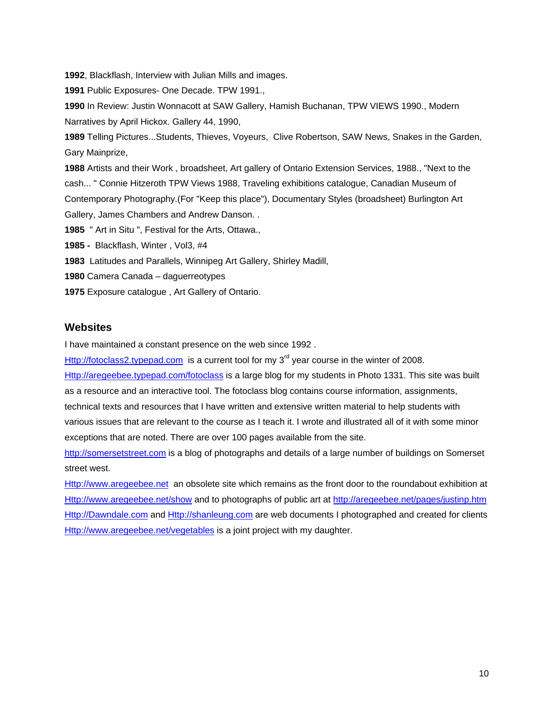**1992**, Blackflash, Interview with Julian Mills and images.

**1991** Public Exposures- One Decade. TPW 1991.,

**1990** In Review: Justin Wonnacott at SAW Gallery, Hamish Buchanan, TPW VIEWS 1990., Modern Narratives by April Hickox. Gallery 44, 1990,

**1989** Telling Pictures...Students, Thieves, Voyeurs, Clive Robertson, SAW News, Snakes in the Garden, Gary Mainprize,

**1988** Artists and their Work , broadsheet, Art gallery of Ontario Extension Services, 1988., "Next to the cash... " Connie Hitzeroth TPW Views 1988, Traveling exhibitions catalogue, Canadian Museum of Contemporary Photography.(For "Keep this place"), Documentary Styles (broadsheet) Burlington Art Gallery, James Chambers and Andrew Danson. .

**1985** " Art in Situ ", Festival for the Arts, Ottawa.,

**1985 -** Blackflash, Winter , Vol3, #4

**1983** Latitudes and Parallels, Winnipeg Art Gallery, Shirley Madill,

- **1980** Camera Canada daguerreotypes
- **1975** Exposure catalogue , Art Gallery of Ontario.

## **Websites**

I have maintained a constant presence on the web since 1992 .

[Http://fotoclass2.typepad.com](http://fotoclass2.typepad.com/) is a current tool for my  $3<sup>rd</sup>$  year course in the winter of 2008.

[Http://aregeebee.typepad.com/fotoclass](http://aregeebee.typepad.com/fotoclass) is a large blog for my students in Photo 1331. This site was built as a resource and an interactive tool. The fotoclass blog contains course information, assignments, technical texts and resources that I have written and extensive written material to help students with various issues that are relevant to the course as I teach it. I wrote and illustrated all of it with some minor exceptions that are noted. There are over 100 pages available from the site.

[http://somersetstreet.com](http://somersetstreet.com/) is a blog of photographs and details of a large number of buildings on Somerset street west.

[Http://www.aregeebee.net](http://www.aregeebee.net/)an obsolete site which remains as the front door to the roundabout exhibition at [Http://www.aregeebee.net/show](http://www.aregeebee.net/show) and to photographs of public art at <http://aregeebee.net/pages/justinp.htm> [Http://Dawndale.com](http://dawndale.com/) and [Http://shanleung.com](http://shanleung.com/) are web documents I photographed and created for clients [Http://www.aregeebee.net/vegetables](http://www.aregeebee.net/vegetables) is a joint project with my daughter.